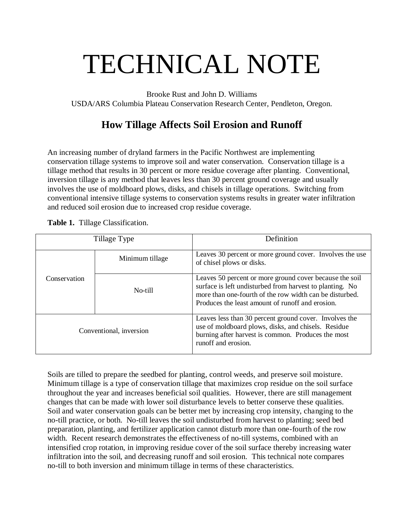# TECHNICAL NOTE

Brooke Rust and John D. Williams USDA/ARS Columbia Plateau Conservation Research Center, Pendleton, Oregon.

## **How Tillage Affects Soil Erosion and Runoff**

An increasing number of dryland farmers in the Pacific Northwest are implementing conservation tillage systems to improve soil and water conservation. Conservation tillage is a tillage method that results in 30 percent or more residue coverage after planting. Conventional, inversion tillage is any method that leaves less than 30 percent ground coverage and usually involves the use of moldboard plows, disks, and chisels in tillage operations. Switching from conventional intensive tillage systems to conservation systems results in greater water infiltration and reduced soil erosion due to increased crop residue coverage.

| Table 1. Tillage Classification. |
|----------------------------------|
|                                  |

|              | Tillage Type            | Definition                                                                                                                                                                                                                         |  |  |  |  |
|--------------|-------------------------|------------------------------------------------------------------------------------------------------------------------------------------------------------------------------------------------------------------------------------|--|--|--|--|
|              | Minimum tillage         | Leaves 30 percent or more ground cover. Involves the use<br>of chisel plows or disks.                                                                                                                                              |  |  |  |  |
| Conservation | No-till                 | Leaves 50 percent or more ground cover because the soil<br>surface is left undisturbed from harvest to planting. No<br>more than one-fourth of the row width can be disturbed.<br>Produces the least amount of runoff and erosion. |  |  |  |  |
|              | Conventional, inversion | Leaves less than 30 percent ground cover. Involves the<br>use of moldboard plows, disks, and chisels. Residue<br>burning after harvest is common. Produces the most<br>runoff and erosion.                                         |  |  |  |  |

Soils are tilled to prepare the seedbed for planting, control weeds, and preserve soil moisture. Minimum tillage is a type of conservation tillage that maximizes crop residue on the soil surface throughout the year and increases beneficial soil qualities. However, there are still management changes that can be made with lower soil disturbance levels to better conserve these qualities. Soil and water conservation goals can be better met by increasing crop intensity, changing to the no-till practice, or both. No-till leaves the soil undisturbed from harvest to planting; seed bed preparation, planting, and fertilizer application cannot disturb more than one-fourth of the row width. Recent research demonstrates the effectiveness of no-till systems, combined with an intensified crop rotation, in improving residue cover of the soil surface thereby increasing water infiltration into the soil, and decreasing runoff and soil erosion. This technical note compares no-till to both inversion and minimum tillage in terms of these characteristics.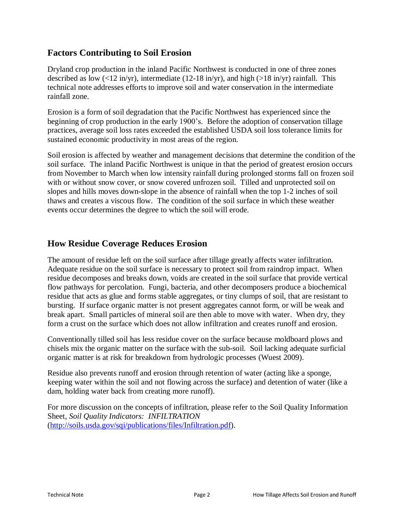## **Factors Contributing to Soil Erosion**

Dryland crop production in the inland Pacific Northwest is conducted in one of three zones described as low  $\langle 12 \text{ in/yr} \rangle$ , intermediate (12-18 in/yr), and high (>18 in/yr) rainfall. This technical note addresses efforts to improve soil and water conservation in the intermediate rainfall zone.

Erosion is a form of soil degradation that the Pacific Northwest has experienced since the beginning of crop production in the early 1900's. Before the adoption of conservation tillage practices, average soil loss rates exceeded the established USDA soil loss tolerance limits for sustained economic productivity in most areas of the region.

Soil erosion is affected by weather and management decisions that determine the condition of the soil surface. The inland Pacific Northwest is unique in that the period of greatest erosion occurs from November to March when low intensity rainfall during prolonged storms fall on frozen soil with or without snow cover, or snow covered unfrozen soil. Tilled and unprotected soil on slopes and hills moves down-slope in the absence of rainfall when the top 1-2 inches of soil thaws and creates a viscous flow. The condition of the soil surface in which these weather events occur determines the degree to which the soil will erode.

## **How Residue Coverage Reduces Erosion**

The amount of residue left on the soil surface after tillage greatly affects water infiltration. Adequate residue on the soil surface is necessary to protect soil from raindrop impact. When residue decomposes and breaks down, voids are created in the soil surface that provide vertical flow pathways for percolation. Fungi, bacteria, and other decomposers produce a biochemical residue that acts as glue and forms stable aggregates, or tiny clumps of soil, that are resistant to bursting. If surface organic matter is not present aggregates cannot form, or will be weak and break apart. Small particles of mineral soil are then able to move with water. When dry, they form a crust on the surface which does not allow infiltration and creates runoff and erosion.

Conventionally tilled soil has less residue cover on the surface because moldboard plows and chisels mix the organic matter on the surface with the sub-soil. Soil lacking adequate surficial organic matter is at risk for breakdown from hydrologic processes (Wuest 2009).

Residue also prevents runoff and erosion through retention of water (acting like a sponge, keeping water within the soil and not flowing across the surface) and detention of water (like a dam, holding water back from creating more runoff).

For more discussion on the concepts of infiltration, please refer to the Soil Quality Information Sheet, *Soil Quality Indicators: INFILTRATION*  [\(http://soils.usda.gov/sqi/publications/files/Infiltration.pdf\)](http://soils.usda.gov/sqi/publications/files/Infiltration.pdf).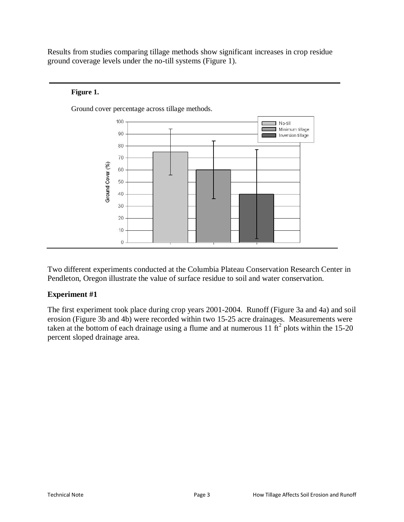Results from studies comparing tillage methods show significant increases in crop residue ground coverage levels under the no-till systems (Figure 1).

#### **Figure 1.**



Ground cover percentage across tillage methods.

Two different experiments conducted at the Columbia Plateau Conservation Research Center in Pendleton, Oregon illustrate the value of surface residue to soil and water conservation.

#### **Experiment #1**

The first experiment took place during crop years 2001-2004. Runoff (Figure 3a and 4a) and soil erosion (Figure 3b and 4b) were recorded within two 15-25 acre drainages. Measurements were taken at the bottom of each drainage using a flume and at numerous  $11 \text{ ft}^2$  plots within the 15-20 percent sloped drainage area.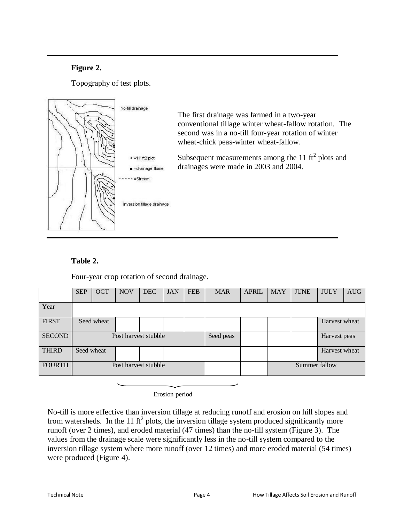## **Figure 2.**

Topography of test plots.



#### **Table 2.**

Four-year crop rotation of second drainage.

|               | <b>SEP</b>           | <b>OCT</b> | <b>NOV</b> | <b>DEC</b> | <b>JAN</b> | <b>FEB</b> | <b>MAR</b> | <b>APRIL</b>  | <b>MAY</b> | <b>JUNE</b>  | <b>JULY</b>   | <b>AUG</b> |
|---------------|----------------------|------------|------------|------------|------------|------------|------------|---------------|------------|--------------|---------------|------------|
| Year          |                      |            |            |            |            |            |            |               |            |              |               |            |
| <b>FIRST</b>  | Seed wheat           |            |            |            |            |            |            |               |            |              | Harvest wheat |            |
| <b>SECOND</b> | Post harvest stubble |            |            |            |            | Seed peas  |            |               |            | Harvest peas |               |            |
| <b>THIRD</b>  | Seed wheat           |            |            |            |            |            |            |               |            |              | Harvest wheat |            |
| <b>FOURTH</b> | Post harvest stubble |            |            |            |            |            |            | Summer fallow |            |              |               |            |

Erosion period

No-till is more effective than inversion tillage at reducing runoff and erosion on hill slopes and from watersheds. In the 11 ft<sup>2</sup> plots, the inversion tillage system produced significantly more runoff (over 2 times), and eroded material (47 times) than the no-till system (Figure 3). The values from the drainage scale were significantly less in the no-till system compared to the inversion tillage system where more runoff (over 12 times) and more eroded material (54 times) were produced (Figure 4).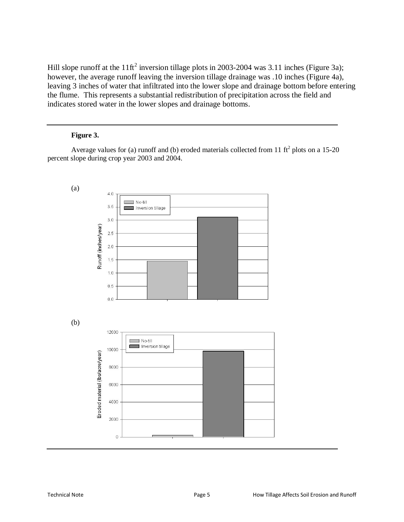Hill slope runoff at the 11ft<sup>2</sup> inversion tillage plots in 2003-2004 was 3.11 inches (Figure 3a); however, the average runoff leaving the inversion tillage drainage was .10 inches (Figure 4a), leaving 3 inches of water that infiltrated into the lower slope and drainage bottom before entering the flume. This represents a substantial redistribution of precipitation across the field and indicates stored water in the lower slopes and drainage bottoms.

#### **Figure 3.**

Average values for (a) runoff and (b) eroded materials collected from 11  $\text{ft}^2$  plots on a 15-20 percent slope during crop year 2003 and 2004.

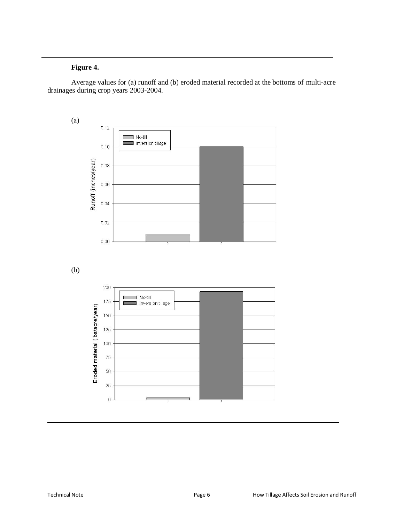## **Figure 4.**

Average values for (a) runoff and (b) eroded material recorded at the bottoms of multi-acre drainages during crop years 2003-2004.

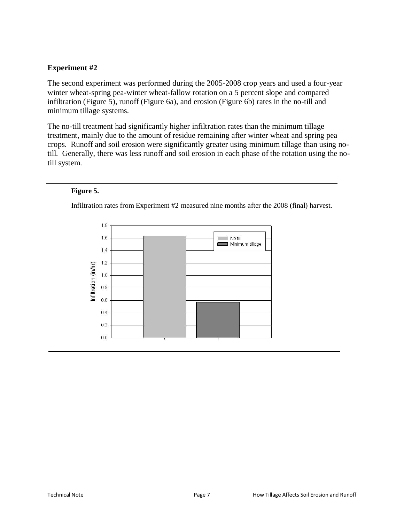### **Experiment #2**

The second experiment was performed during the 2005-2008 crop years and used a four-year winter wheat-spring pea-winter wheat-fallow rotation on a 5 percent slope and compared infiltration (Figure 5), runoff (Figure 6a), and erosion (Figure 6b) rates in the no-till and minimum tillage systems.

The no-till treatment had significantly higher infiltration rates than the minimum tillage treatment, mainly due to the amount of residue remaining after winter wheat and spring pea crops. Runoff and soil erosion were significantly greater using minimum tillage than using notill. Generally, there was less runoff and soil erosion in each phase of the rotation using the notill system.

#### **Figure 5.**

Infiltration rates from Experiment #2 measured nine months after the 2008 (final) harvest.

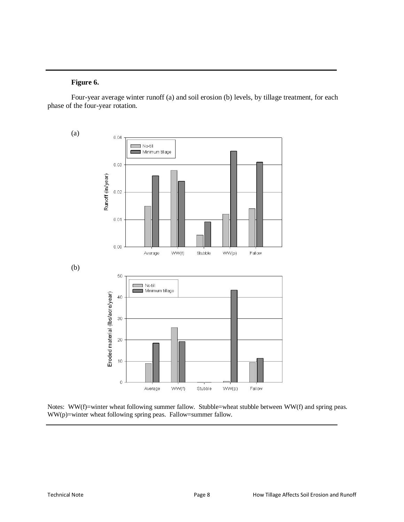#### **Figure 6.**

Four-year average winter runoff (a) and soil erosion (b) levels, by tillage treatment, for each phase of the four-year rotation.



Notes: WW(f)=winter wheat following summer fallow. Stubble=wheat stubble between WW(f) and spring peas. WW(p)=winter wheat following spring peas. Fallow=summer fallow.